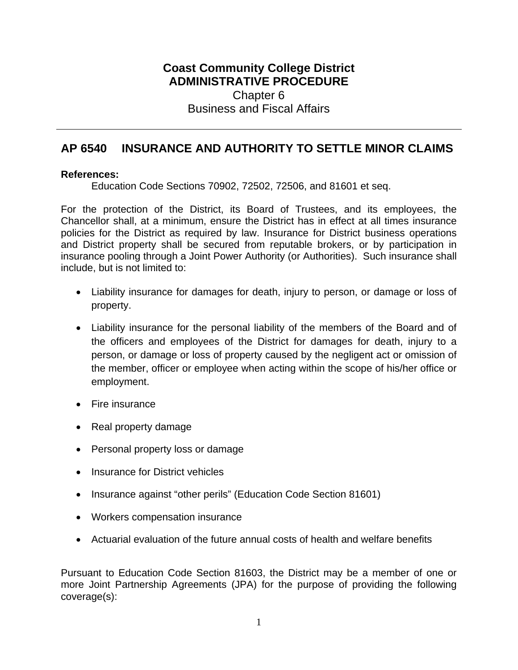## **Coast Community College District ADMINISTRATIVE PROCEDURE** Chapter 6 Business and Fiscal Affairs

## **AP 6540 INSURANCE AND AUTHORITY TO SETTLE MINOR CLAIMS**

## **References:**

Education Code Sections 70902, 72502, 72506, and 81601 et seq.

For the protection of the District, its Board of Trustees, and its employees, the Chancellor shall, at a minimum, ensure the District has in effect at all times insurance policies for the District as required by law. Insurance for District business operations and District property shall be secured from reputable brokers, or by participation in insurance pooling through a Joint Power Authority (or Authorities). Such insurance shall include, but is not limited to:

- Liability insurance for damages for death, injury to person, or damage or loss of property.
- Liability insurance for the personal liability of the members of the Board and of the officers and employees of the District for damages for death, injury to a person, or damage or loss of property caused by the negligent act or omission of the member, officer or employee when acting within the scope of his/her office or employment.
- Fire insurance
- Real property damage
- Personal property loss or damage
- Insurance for District vehicles
- Insurance against "other perils" (Education Code Section 81601)
- Workers compensation insurance
- Actuarial evaluation of the future annual costs of health and welfare benefits

Pursuant to Education Code Section 81603, the District may be a member of one or more Joint Partnership Agreements (JPA) for the purpose of providing the following coverage(s):